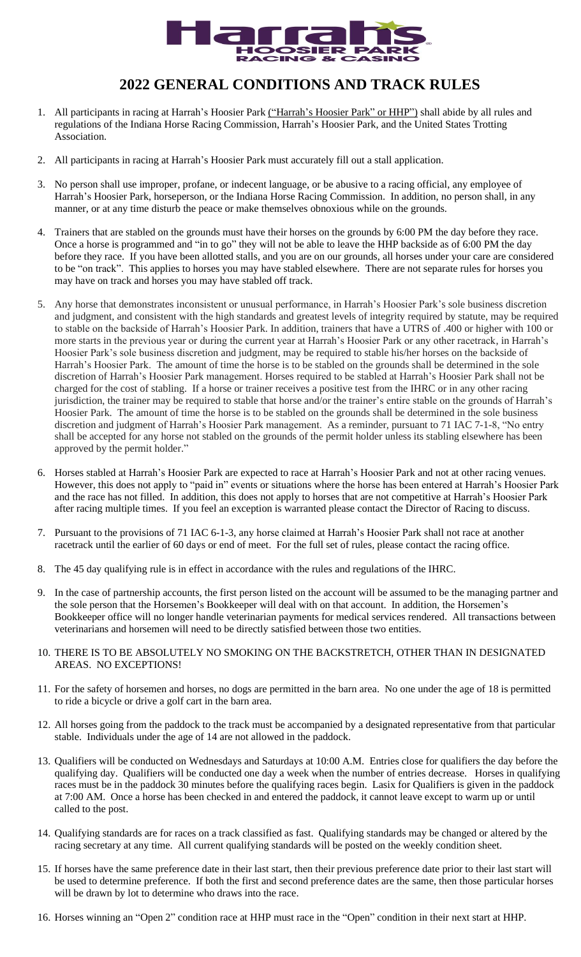

## **2022 GENERAL CONDITIONS AND TRACK RULES**

- 1. All participants in racing at Harrah's Hoosier Park ("Harrah's Hoosier Park" or HHP") shall abide by all rules and regulations of the Indiana Horse Racing Commission, Harrah's Hoosier Park, and the United States Trotting Association.
- 2. All participants in racing at Harrah's Hoosier Park must accurately fill out a stall application.
- 3. No person shall use improper, profane, or indecent language, or be abusive to a racing official, any employee of Harrah's Hoosier Park, horseperson, or the Indiana Horse Racing Commission. In addition, no person shall, in any manner, or at any time disturb the peace or make themselves obnoxious while on the grounds.
- 4. Trainers that are stabled on the grounds must have their horses on the grounds by 6:00 PM the day before they race. Once a horse is programmed and "in to go" they will not be able to leave the HHP backside as of 6:00 PM the day before they race. If you have been allotted stalls, and you are on our grounds, all horses under your care are considered to be "on track". This applies to horses you may have stabled elsewhere. There are not separate rules for horses you may have on track and horses you may have stabled off track.
- 5. Any horse that demonstrates inconsistent or unusual performance, in Harrah's Hoosier Park's sole business discretion and judgment, and consistent with the high standards and greatest levels of integrity required by statute, may be required to stable on the backside of Harrah's Hoosier Park. In addition, trainers that have a UTRS of .400 or higher with 100 or more starts in the previous year or during the current year at Harrah's Hoosier Park or any other racetrack, in Harrah's Hoosier Park's sole business discretion and judgment, may be required to stable his/her horses on the backside of Harrah's Hoosier Park. The amount of time the horse is to be stabled on the grounds shall be determined in the sole discretion of Harrah's Hoosier Park management. Horses required to be stabled at Harrah's Hoosier Park shall not be charged for the cost of stabling. If a horse or trainer receives a positive test from the IHRC or in any other racing jurisdiction, the trainer may be required to stable that horse and/or the trainer's entire stable on the grounds of Harrah's Hoosier Park. The amount of time the horse is to be stabled on the grounds shall be determined in the sole business discretion and judgment of Harrah's Hoosier Park management. As a reminder, pursuant to 71 IAC 7-1-8, "No entry shall be accepted for any horse not stabled on the grounds of the permit holder unless its stabling elsewhere has been approved by the permit holder."
- 6. Horses stabled at Harrah's Hoosier Park are expected to race at Harrah's Hoosier Park and not at other racing venues. However, this does not apply to "paid in" events or situations where the horse has been entered at Harrah's Hoosier Park and the race has not filled. In addition, this does not apply to horses that are not competitive at Harrah's Hoosier Park after racing multiple times. If you feel an exception is warranted please contact the Director of Racing to discuss.
- 7. Pursuant to the provisions of 71 IAC 6-1-3, any horse claimed at Harrah's Hoosier Park shall not race at another racetrack until the earlier of 60 days or end of meet. For the full set of rules, please contact the racing office.
- 8. The 45 day qualifying rule is in effect in accordance with the rules and regulations of the IHRC.
- 9. In the case of partnership accounts, the first person listed on the account will be assumed to be the managing partner and the sole person that the Horsemen's Bookkeeper will deal with on that account. In addition, the Horsemen's Bookkeeper office will no longer handle veterinarian payments for medical services rendered. All transactions between veterinarians and horsemen will need to be directly satisfied between those two entities.
- 10. THERE IS TO BE ABSOLUTELY NO SMOKING ON THE BACKSTRETCH, OTHER THAN IN DESIGNATED AREAS. NO EXCEPTIONS!
- 11. For the safety of horsemen and horses, no dogs are permitted in the barn area. No one under the age of 18 is permitted to ride a bicycle or drive a golf cart in the barn area.
- 12. All horses going from the paddock to the track must be accompanied by a designated representative from that particular stable. Individuals under the age of 14 are not allowed in the paddock.
- 13. Qualifiers will be conducted on Wednesdays and Saturdays at 10:00 A.M. Entries close for qualifiers the day before the qualifying day. Qualifiers will be conducted one day a week when the number of entries decrease. Horses in qualifying races must be in the paddock 30 minutes before the qualifying races begin. Lasix for Qualifiers is given in the paddock at 7:00 AM. Once a horse has been checked in and entered the paddock, it cannot leave except to warm up or until called to the post.
- 14. Qualifying standards are for races on a track classified as fast. Qualifying standards may be changed or altered by the racing secretary at any time. All current qualifying standards will be posted on the weekly condition sheet.
- 15. If horses have the same preference date in their last start, then their previous preference date prior to their last start will be used to determine preference. If both the first and second preference dates are the same, then those particular horses will be drawn by lot to determine who draws into the race.
- 16. Horses winning an "Open 2" condition race at HHP must race in the "Open" condition in their next start at HHP.